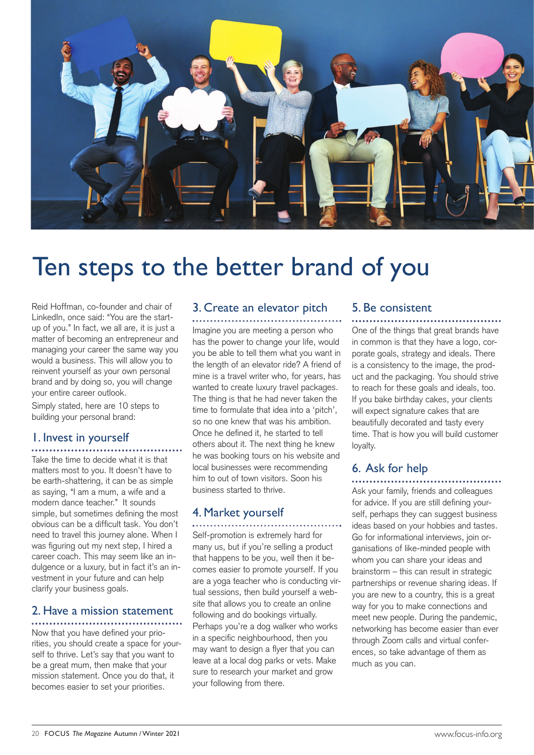

# Ten steps to the better brand of you

Reid Hoffman, co-founder and chair of LinkedIn, once said: "You are the startup of you." In fact, we all are, it is just a matter of becoming an entrepreneur and managing your career the same way you would a business. This will allow you to reinvent yourself as your own personal brand and by doing so, you will change your entire career outlook.

Simply stated, here are 10 steps to building your personal brand:

#### 1. Invest in yourself

Take the time to decide what it is that matters most to you. It doesn't have to be earth-shattering, it can be as simple as saying, "I am a mum, a wife and a modern dance teacher." It sounds simple, but sometimes defining the most obvious can be a difficult task. You don't need to travel this journey alone. When I was figuring out my next step, I hired a career coach. This may seem like an indulgence or a luxury, but in fact it's an investment in your future and can help clarify your business goals.

#### 2. Have a mission statement

Now that you have defined your priorities, you should create a space for yourself to thrive. Let's say that you want to be a great mum, then make that your mission statement. Once you do that, it becomes easier to set your priorities.

#### 3. Create an elevator pitch

Imagine you are meeting a person who has the power to change your life, would you be able to tell them what you want in the length of an elevator ride? A friend of mine is a travel writer who, for years, has wanted to create luxury travel packages. The thing is that he had never taken the time to formulate that idea into a 'pitch', so no one knew that was his ambition. Once he defined it, he started to tell others about it. The next thing he knew he was booking tours on his website and local businesses were recommending him to out of town visitors. Soon his business started to thrive.

#### 4. Market yourself

Self-promotion is extremely hard for many us, but if you're selling a product that happens to be you, well then it becomes easier to promote yourself. If you are a yoga teacher who is conducting virtual sessions, then build yourself a website that allows you to create an online following and do bookings virtually. Perhaps you're a dog walker who works in a specific neighbourhood, then you may want to design a flyer that you can leave at a local dog parks or vets. Make sure to research your market and grow your following from there.

#### 5. Be consistent

One of the things that great brands have in common is that they have a logo, corporate goals, strategy and ideals. There is a consistency to the image, the product and the packaging. You should strive to reach for these goals and ideals, too. If you bake birthday cakes, your clients will expect signature cakes that are beautifully decorated and tasty every time. That is how you will build customer loyalty.

#### 6. Ask for help

Ask your family, friends and colleagues for advice. If you are still defining yourself, perhaps they can suggest business ideas based on your hobbies and tastes. Go for informational interviews, join organisations of like-minded people with whom you can share your ideas and brainstorm – this can result in strategic partnerships or revenue sharing ideas. If you are new to a country, this is a great way for you to make connections and meet new people. During the pandemic, networking has become easier than ever through Zoom calls and virtual conferences, so take advantage of them as much as you can.